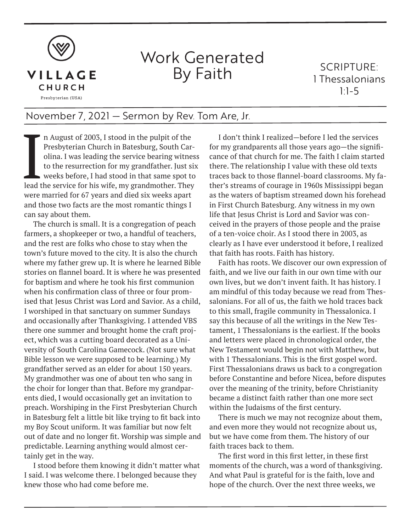

## Work Generated By Faith

SCRIPTURE: 1 Thessalonians 1:1-5

## November 7, 2021 — Sermon by Rev. Tom Are, Jr.

I n August of 2003, I stood in the pulpit of the Presbyterian Church in Batesburg, South Carolina. I was leading the service bearing witnes to the resurrection for my grandfather. Just six weeks before, I had stood in that Presbyterian Church in Batesburg, South Carolina. I was leading the service bearing witness to the resurrection for my grandfather. Just six weeks before, I had stood in that same spot to were married for 67 years and died six weeks apart and those two facts are the most romantic things I can say about them.

The church is small. It is a congregation of peach farmers, a shopkeeper or two, a handful of teachers, and the rest are folks who chose to stay when the town's future moved to the city. It is also the church where my father grew up. It is where he learned Bible stories on flannel board. It is where he was presented for baptism and where he took his first communion when his confirmation class of three or four promised that Jesus Christ was Lord and Savior. As a child, I worshiped in that sanctuary on summer Sundays and occasionally after Thanksgiving. I attended VBS there one summer and brought home the craft project, which was a cutting board decorated as a University of South Carolina Gamecock. (Not sure what Bible lesson we were supposed to be learning.) My grandfather served as an elder for about 150 years. My grandmother was one of about ten who sang in the choir for longer than that. Before my grandparents died, I would occasionally get an invitation to preach. Worshiping in the First Presbyterian Church in Batesburg felt a little bit like trying to fit back into my Boy Scout uniform. It was familiar but now felt out of date and no longer fit. Worship was simple and predictable. Learning anything would almost certainly get in the way.

I stood before them knowing it didn't matter what I said. I was welcome there. I belonged because they knew those who had come before me.

I don't think I realized—before I led the services for my grandparents all those years ago—the significance of that church for me. The faith I claim started there. The relationship I value with these old texts traces back to those flannel-board classrooms. My father's streams of courage in 1960s Mississippi began as the waters of baptism streamed down his forehead in First Church Batesburg. Any witness in my own life that Jesus Christ is Lord and Savior was conceived in the prayers of those people and the praise of a ten-voice choir. As I stood there in 2003, as clearly as I have ever understood it before, I realized that faith has roots. Faith has history.

Faith has roots. We discover our own expression of faith, and we live our faith in our own time with our own lives, but we don't invent faith. It has history. I am mindful of this today because we read from Thessalonians. For all of us, the faith we hold traces back to this small, fragile community in Thessalonica. I say this because of all the writings in the New Testament, 1 Thessalonians is the earliest. If the books and letters were placed in chronological order, the New Testament would begin not with Matthew, but with 1 Thessalonians. This is the first gospel word. First Thessalonians draws us back to a congregation before Constantine and before Nicea, before disputes over the meaning of the trinity, before Christianity became a distinct faith rather than one more sect within the Judaisms of the first century.

There is much we may not recognize about them, and even more they would not recognize about us, but we have come from them. The history of our faith traces back to them.

The first word in this first letter, in these first moments of the church, was a word of thanksgiving. And what Paul is grateful for is the faith, love and hope of the church. Over the next three weeks, we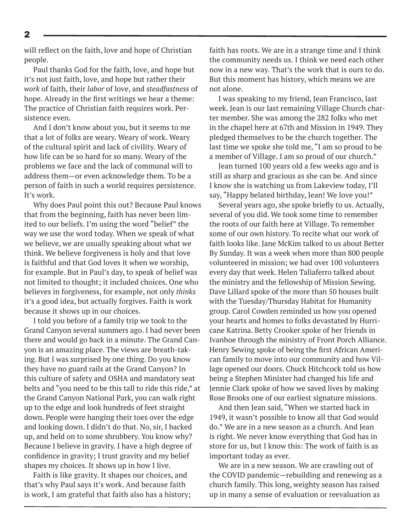will reflect on the faith, love and hope of Christian people.

Paul thanks God for the faith, love, and hope but it's not just faith, love, and hope but rather their *work* of faith, their *labor* of love, and *steadfastness* of hope. Already in the first writings we hear a theme: The practice of Christian faith requires work. Persistence even.

And I don't know about you, but it seems to me that a lot of folks are weary. Weary of work. Weary of the cultural spirit and lack of civility. Weary of how life can be so hard for so many. Weary of the problems we face and the lack of communal will to address them—or even acknowledge them. To be a person of faith in such a world requires persistence. It's work.

Why does Paul point this out? Because Paul knows that from the beginning, faith has never been limited to our beliefs. I'm using the word "belief" the way we use the word today. When we speak of what we believe, we are usually speaking about what we think. We believe forgiveness is holy and that love is faithful and that God loves it when we worship, for example. But in Paul's day, to speak of belief was not limited to thought; it included choices. One who believes in forgiveness, for example, not only *thinks* it's a good idea, but actually forgives. Faith is work because it shows up in our choices.

I told you before of a family trip we took to the Grand Canyon several summers ago. I had never been there and would go back in a minute. The Grand Canyon is an amazing place. The views are breath-taking. But I was surprised by one thing. Do you know they have no guard rails at the Grand Canyon? In this culture of safety and OSHA and mandatory seat belts and "you need to be this tall to ride this ride," at the Grand Canyon National Park, you can walk right up to the edge and look hundreds of feet straight down. People were hanging their toes over the edge and looking down. I didn't do that. No, sir, I backed up, and held on to some shrubbery. You know why? Because I believe in gravity. I have a high degree of confidence in gravity; I trust gravity and my belief shapes my choices. It shows up in how I live.

Faith is like gravity. It shapes our choices, and that's why Paul says it's work. And because faith is work, I am grateful that faith also has a history; faith has roots. We are in a strange time and I think the community needs us. I think we need each other now in a new way. That's the work that is ours to do. But this moment has history, which means we are not alone.

I was speaking to my friend, Jean Francisco, last week. Jean is our last remaining Village Church charter member. She was among the 282 folks who met in the chapel here at 67th and Mission in 1949. They pledged themselves to be the church together. The last time we spoke she told me, "I am so proud to be a member of Village. I am so proud of our church."

Jean turned 100 years old a few weeks ago and is still as sharp and gracious as she can be. And since I know she is watching us from Lakeview today, I'll say, "Happy belated birthday, Jean! We love you!"

Several years ago, she spoke briefly to us. Actually, several of you did. We took some time to remember the roots of our faith here at Village. To remember some of our own history. To recite what our work of faith looks like. Jane McKim talked to us about Better By Sunday. It was a week when more than 800 people volunteered in mission; we had over 100 volunteers every day that week. Helen Taliaferro talked about the ministry and the fellowship of Mission Sewing. Dave Lillard spoke of the more than 50 houses built with the Tuesday/Thursday Habitat for Humanity group. Carol Cowden reminded us how you opened your hearts and homes to folks devastated by Hurricane Katrina. Betty Crooker spoke of her friends in Ivanhoe through the ministry of Front Porch Alliance. Henry Sewing spoke of being the first African American family to move into our community and how Village opened our doors. Chuck Hitchcock told us how being a Stephen Minister had changed his life and Jennie Clark spoke of how we saved lives by making Rose Brooks one of our earliest signature missions.

And then Jean said, "When we started back in 1949, it wasn't possible to know all that God would do." We are in a new season as a church. And Jean is right. We never know everything that God has in store for us, but I know this: The work of faith is as important today as ever.

We are in a new season. We are crawling out of the COVID pandemic—rebuilding and renewing as a church family. This long, weighty season has raised up in many a sense of evaluation or reevaluation as

2